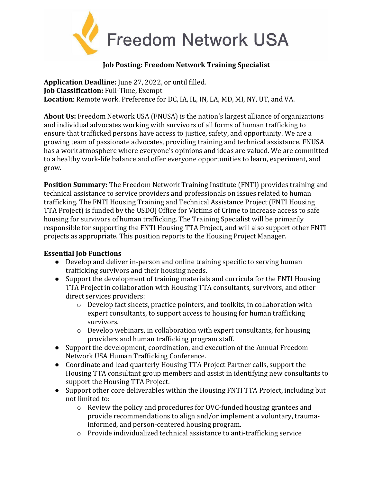

## **Job Posting: Freedom Network Training Specialist**

**Application Deadline:** June 27, 2022, or until filled. **Job Classification:** Full-Time, Exempt **Location**: Remote work. Preference for DC, IA, IL, IN, LA, MD, MI, NY, UT, and VA.

**About Us:** Freedom Network USA (FNUSA) is the nation's largest alliance of organizations and individual advocates working with survivors of all forms of human trafficking to ensure that trafficked persons have access to justice, safety, and opportunity. We are a growing team of passionate advocates, providing training and technical assistance. FNUSA has a work atmosphere where everyone's opinions and ideas are valued. We are committed to a healthy work-life balance and offer everyone opportunities to learn, experiment, and grow.

**Position Summary:** The Freedom Network Training Institute (FNTI) provides training and technical assistance to service providers and professionals on issues related to human trafficking. The FNTI Housing Training and Technical Assistance Project (FNTI Housing TTA Project) is funded by the USDOJ Office for Victims of Crime to increase access to safe housing for survivors of human trafficking. The Training Specialist will be primarily responsible for supporting the FNTI Housing TTA Project, and will also support other FNTI projects as appropriate. This position reports to the Housing Project Manager.

## **Essential Job Functions**

- Develop and deliver in-person and online training specific to serving human trafficking survivors and their housing needs.
- Support the development of training materials and curricula for the FNTI Housing TTA Project in collaboration with Housing TTA consultants, survivors, and other direct services providers:
	- o Develop fact sheets, practice pointers, and toolkits, in collaboration with expert consultants, to support access to housing for human trafficking survivors.
	- $\circ$  Develop webinars, in collaboration with expert consultants, for housing providers and human trafficking program staff.
- Support the development, coordination, and execution of the Annual Freedom Network USA Human Trafficking Conference.
- Coordinate and lead quarterly Housing TTA Project Partner calls, support the Housing TTA consultant group members and assist in identifying new consultants to support the Housing TTA Project.
- Support other core deliverables within the Housing FNTI TTA Project, including but not limited to:
	- $\circ$  Review the policy and procedures for OVC-funded housing grantees and provide recommendations to align and/or implement a voluntary, traumainformed, and person-centered housing program.
	- o Provide individualized technical assistance to anti-trafficking service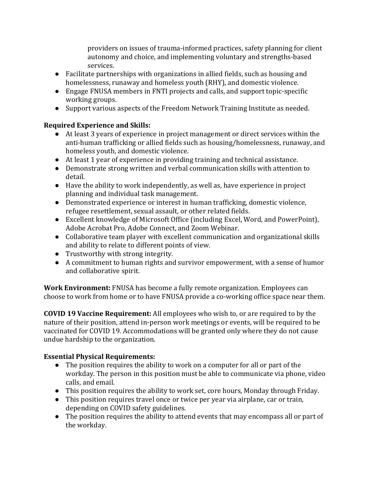providers on issues of trauma-informed practices, safety planning for client autonomy and choice, and implementing voluntary and strengths-based services.

- Facilitate partnerships with organizations in allied fields, such as housing and homelessness, runaway and homeless youth (RHY), and domestic violence.
- Engage FNUSA members in FNTI projects and calls, and support topic-specific working groups.
- Support various aspects of the Freedom Network Training Institute as needed.

## **Required Experience and Skills:**

- At least 3 years of experience in project management or direct services within the anti-human trafficking or allied fields such as housing/homelessness, runaway, and homeless youth, and domestic violence.
- At least 1 year of experience in providing training and technical assistance.
- Demonstrate strong written and verbal communication skills with attention to detail.
- Have the ability to work independently, as well as, have experience in project planning and individual task management.
- Demonstrated experience or interest in human trafficking, domestic violence, refugee resettlement, sexual assault, or other related fields.
- Excellent knowledge of Microsoft Office (including Excel, Word, and PowerPoint), Adobe Acrobat Pro, Adobe Connect, and Zoom Webinar.
- Collaborative team player with excellent communication and organizational skills and ability to relate to different points of view.
- Trustworthy with strong integrity.
- A commitment to human rights and survivor empowerment, with a sense of humor and collaborative spirit.

**Work Environment:** FNUSA has become a fully remote organization. Employees can choose to work from home or to have FNUSA provide a co-working office space near them.

**COVID 19 Vaccine Requirement:** All employees who wish to, or are required to by the nature of their position, attend in-person work meetings or events, will be required to be vaccinated for COVID 19. Accommodations will be granted only where they do not cause undue hardship to the organization.

## **Essential Physical Requirements:**

- The position requires the ability to work on a computer for all or part of the workday. The person in this position must be able to communicate via phone, video calls, and email.
- This position requires the ability to work set, core hours, Monday through Friday.
- This position requires travel once or twice per year via airplane, car or train, depending on COVID safety guidelines.
- The position requires the ability to attend events that may encompass all or part of the workday.